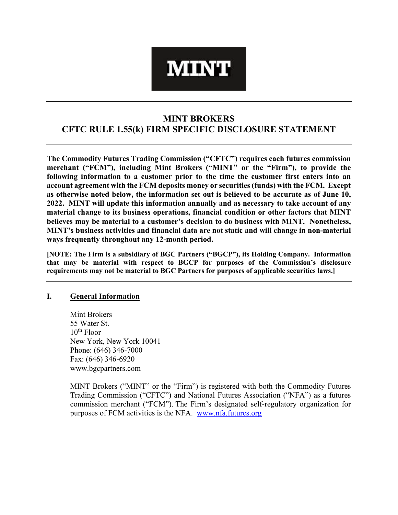# **MINT**

# **MINT BROKERS CFTC RULE 1.55(k) FIRM SPECIFIC DISCLOSURE STATEMENT**

**The Commodity Futures Trading Commission ("CFTC") requires each futures commission merchant ("FCM"), including Mint Brokers ("MINT" or the "Firm"), to provide the following information to a customer prior to the time the customer first enters into an account agreement with the FCM deposits money or securities (funds) with the FCM. Except as otherwise noted below, the information set out is believed to be accurate as of June 10, 2022. MINT will update this information annually and as necessary to take account of any material change to its business operations, financial condition or other factors that MINT believes may be material to a customer's decision to do business with MINT. Nonetheless, MINT's business activities and financial data are not static and will change in non-material ways frequently throughout any 12-month period.** 

**[NOTE: The Firm is a subsidiary of BGC Partners ("BGCP"), its Holding Company. Information that may be material with respect to BGCP for purposes of the Commission's disclosure requirements may not be material to BGC Partners for purposes of applicable securities laws.]** 

#### **I. General Information**

Mint Brokers 55 Water St.  $10^{th}$  Floor New York, New York 10041 Phone: (646) 346-7000 Fax: (646) 346-6920 www.bgcpartners.com

MINT Brokers ("MINT" or the "Firm") is registered with both the Commodity Futures Trading Commission ("CFTC") and National Futures Association ("NFA") as a futures commission merchant ("FCM"). The Firm's designated self-regulatory organization for purposes of FCM activities is the NFA. [www.nfa.futures.org](http://www.nfa.futures.org/)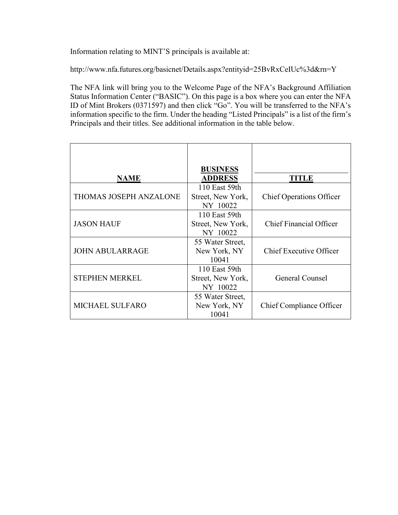Information relating to MINT'S principals is available at:

http://www.nfa.futures.org/basicnet/Details.aspx?entityid=25BvRxCeIUc%3d&rn=Y

The NFA link will bring you to the Welcome Page of the NFA's Background Affiliation Status Information Center ("BASIC"). On this page is a box where you can enter the NFA ID of Mint Brokers (0371597) and then click "Go". You will be transferred to the NFA's information specific to the firm. Under the heading "Listed Principals" is a list of the firm's Principals and their titles. See additional information in the table below.

| <b>NAME</b>                   | <b>BUSINESS</b><br><b>ADDRESS</b>              | <b>TITLE</b>                    |
|-------------------------------|------------------------------------------------|---------------------------------|
| <b>THOMAS JOSEPH ANZALONE</b> | 110 East 59th<br>Street, New York,<br>NY 10022 | <b>Chief Operations Officer</b> |
| <b>JASON HAUF</b>             | 110 East 59th<br>Street, New York,<br>NY 10022 | Chief Financial Officer         |
| <b>JOHN ABULARRAGE</b>        | 55 Water Street,<br>New York, NY<br>10041      | <b>Chief Executive Officer</b>  |
| <b>STEPHEN MERKEL</b>         | 110 East 59th<br>Street, New York,<br>NY 10022 | General Counsel                 |
| <b>MICHAEL SULFARO</b>        | 55 Water Street,<br>New York, NY<br>10041      | <b>Chief Compliance Officer</b> |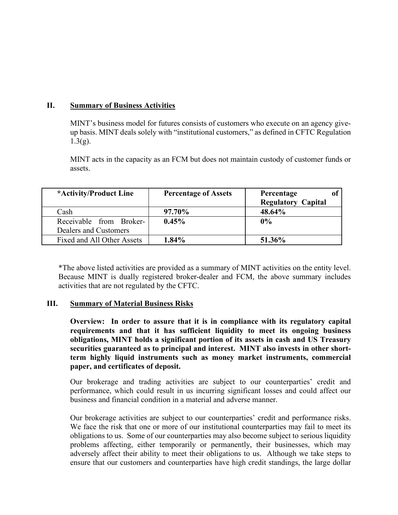#### **II. Summary of Business Activities**

MINT's business model for futures consists of customers who execute on an agency giveup basis. MINT deals solely with "institutional customers," as defined in CFTC Regulation  $1.3(g)$ .

MINT acts in the capacity as an FCM but does not maintain custody of customer funds or assets.

| *Activity/Product Line     | <b>Percentage of Assets</b> | Percentage                |
|----------------------------|-----------------------------|---------------------------|
|                            |                             | <b>Regulatory Capital</b> |
| Cash                       | 97.70%                      | 48.64%                    |
| Receivable from Broker-    | $0.45\%$                    | 0%                        |
| Dealers and Customers      |                             |                           |
| Fixed and All Other Assets | 1.84%                       | 51.36%                    |

\*The above listed activities are provided as a summary of MINT activities on the entity level. Because MINT is dually registered broker-dealer and FCM, the above summary includes activities that are not regulated by the CFTC.

#### **III. Summary of Material Business Risks**

**Overview: In order to assure that it is in compliance with its regulatory capital requirements and that it has sufficient liquidity to meet its ongoing business obligations, MINT holds a significant portion of its assets in cash and US Treasury securities guaranteed as to principal and interest. MINT also invests in other shortterm highly liquid instruments such as money market instruments, commercial paper, and certificates of deposit.** 

Our brokerage and trading activities are subject to our counterparties' credit and performance, which could result in us incurring significant losses and could affect our business and financial condition in a material and adverse manner.

Our brokerage activities are subject to our counterparties' credit and performance risks. We face the risk that one or more of our institutional counterparties may fail to meet its obligations to us. Some of our counterparties may also become subject to serious liquidity problems affecting, either temporarily or permanently, their businesses, which may adversely affect their ability to meet their obligations to us. Although we take steps to ensure that our customers and counterparties have high credit standings, the large dollar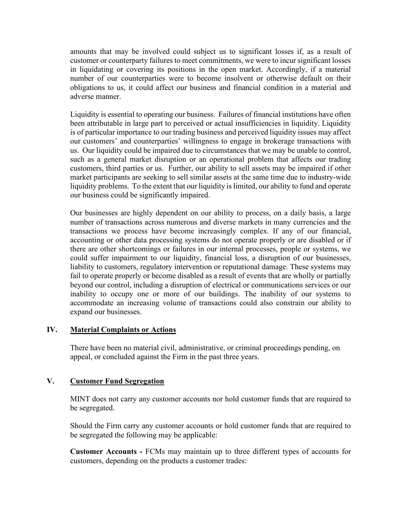amounts that may be involved could subject us to significant losses if, as a result of customer or counterparty failures to meet commitments, we were to incur significant losses in liquidating or covering its positions in the open market. Accordingly, if a material number of our counterparties were to become insolvent or otherwise default on their obligations to us, it could affect our business and financial condition in a material and adverse manner.

Liquidity is essential to operating our business. Failures of financial institutions have often been attributable in large part to perceived or actual insufficiencies in liquidity. Liquidity is of particular importance to our trading business and perceived liquidity issues may affect our customers' and counterparties' willingness to engage in brokerage transactions with us. Our liquidity could be impaired due to circumstances that we may be unable to control, such as a general market disruption or an operational problem that affects our trading customers, third parties or us. Further, our ability to sell assets may be impaired if other market participants are seeking to sell similar assets at the same time due to industry-wide liquidity problems. To the extent that our liquidity is limited, our ability to fund and operate our business could be significantly impaired.

Our businesses are highly dependent on our ability to process, on a daily basis, a large number of transactions across numerous and diverse markets in many currencies and the transactions we process have become increasingly complex. If any of our financial, accounting or other data processing systems do not operate properly or are disabled or if there are other shortcomings or failures in our internal processes, people or systems, we could suffer impairment to our liquidity, financial loss, a disruption of our businesses, liability to customers, regulatory intervention or reputational damage. These systems may fail to operate properly or become disabled as a result of events that are wholly or partially beyond our control, including a disruption of electrical or communications services or our inability to occupy one or more of our buildings. The inability of our systems to accommodate an increasing volume of transactions could also constrain our ability to expand our businesses.

#### **IV. Material Complaints or Actions**

There have been no material civil, administrative, or criminal proceedings pending, on appeal, or concluded against the Firm in the past three years.

# **V. Customer Fund Segregation**

MINT does not carry any customer accounts nor hold customer funds that are required to be segregated.

Should the Firm carry any customer accounts or hold customer funds that are required to be segregated the following may be applicable:

**Customer Accounts -** FCMs may maintain up to three different types of accounts for customers, depending on the products a customer trades: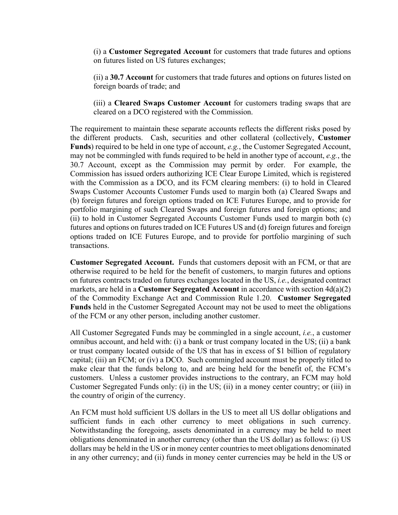(i) a **Customer Segregated Account** for customers that trade futures and options on futures listed on US futures exchanges;

(ii) a **30.7 Account** for customers that trade futures and options on futures listed on foreign boards of trade; and

(iii) a **Cleared Swaps Customer Account** for customers trading swaps that are cleared on a DCO registered with the Commission.

The requirement to maintain these separate accounts reflects the different risks posed by the different products. Cash, securities and other collateral (collectively, **Customer Funds**) required to be held in one type of account, *e.g.*, the Customer Segregated Account, may not be commingled with funds required to be held in another type of account, *e.g.*, the 30.7 Account, except as the Commission may permit by order. For example, the Commission has issued orders authorizing ICE Clear Europe Limited, which is registered with the Commission as a DCO, and its FCM clearing members: (i) to hold in Cleared Swaps Customer Accounts Customer Funds used to margin both (a) Cleared Swaps and (b) foreign futures and foreign options traded on ICE Futures Europe, and to provide for portfolio margining of such Cleared Swaps and foreign futures and foreign options; and (ii) to hold in Customer Segregated Accounts Customer Funds used to margin both (c) futures and options on futures traded on ICE Futures US and (d) foreign futures and foreign options traded on ICE Futures Europe, and to provide for portfolio margining of such transactions.

**Customer Segregated Account.** Funds that customers deposit with an FCM, or that are otherwise required to be held for the benefit of customers, to margin futures and options on futures contracts traded on futures exchanges located in the US, *i.e.*, designated contract markets, are held in a **Customer Segregated Account** in accordance with section 4d(a)(2) of the Commodity Exchange Act and Commission Rule 1.20. **Customer Segregated Funds** held in the Customer Segregated Account may not be used to meet the obligations of the FCM or any other person, including another customer.

All Customer Segregated Funds may be commingled in a single account, *i.e.*, a customer omnibus account, and held with: (i) a bank or trust company located in the US; (ii) a bank or trust company located outside of the US that has in excess of \$1 billion of regulatory capital; (iii) an FCM; or (iv) a DCO. Such commingled account must be properly titled to make clear that the funds belong to, and are being held for the benefit of, the FCM's customers. Unless a customer provides instructions to the contrary, an FCM may hold Customer Segregated Funds only: (i) in the US; (ii) in a money center country; or (iii) in the country of origin of the currency.

An FCM must hold sufficient US dollars in the US to meet all US dollar obligations and sufficient funds in each other currency to meet obligations in such currency. Notwithstanding the foregoing, assets denominated in a currency may be held to meet obligations denominated in another currency (other than the US dollar) as follows: (i) US dollars may be held in the US or in money center countries to meet obligations denominated in any other currency; and (ii) funds in money center currencies may be held in the US or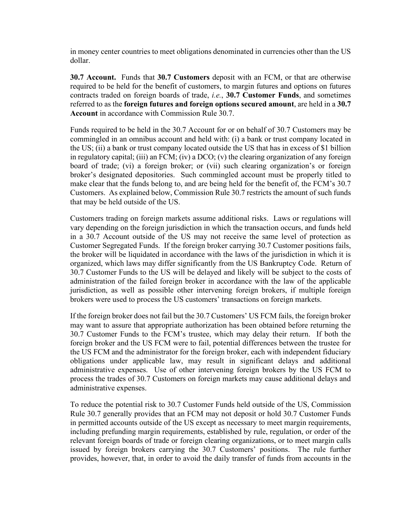in money center countries to meet obligations denominated in currencies other than the US dollar.

**30.7 Account.** Funds that **30.7 Customers** deposit with an FCM, or that are otherwise required to be held for the benefit of customers, to margin futures and options on futures contracts traded on foreign boards of trade, *i.e.*, **30.7 Customer Funds**, and sometimes referred to as the **foreign futures and foreign options secured amount**, are held in a **30.7 Account** in accordance with Commission Rule 30.7.

Funds required to be held in the 30.7 Account for or on behalf of 30.7 Customers may be commingled in an omnibus account and held with: (i) a bank or trust company located in the US; (ii) a bank or trust company located outside the US that has in excess of \$1 billion in regulatory capital; (iii) an FCM; (iv) a DCO; (v) the clearing organization of any foreign board of trade; (vi) a foreign broker; or (vii) such clearing organization's or foreign broker's designated depositories. Such commingled account must be properly titled to make clear that the funds belong to, and are being held for the benefit of, the FCM's 30.7 Customers. As explained below, Commission Rule 30.7 restricts the amount of such funds that may be held outside of the US.

Customers trading on foreign markets assume additional risks. Laws or regulations will vary depending on the foreign jurisdiction in which the transaction occurs, and funds held in a 30.7 Account outside of the US may not receive the same level of protection as Customer Segregated Funds. If the foreign broker carrying 30.7 Customer positions fails, the broker will be liquidated in accordance with the laws of the jurisdiction in which it is organized, which laws may differ significantly from the US Bankruptcy Code. Return of 30.7 Customer Funds to the US will be delayed and likely will be subject to the costs of administration of the failed foreign broker in accordance with the law of the applicable jurisdiction, as well as possible other intervening foreign brokers, if multiple foreign brokers were used to process the US customers' transactions on foreign markets.

If the foreign broker does not fail but the 30.7 Customers' US FCM fails, the foreign broker may want to assure that appropriate authorization has been obtained before returning the 30.7 Customer Funds to the FCM's trustee, which may delay their return. If both the foreign broker and the US FCM were to fail, potential differences between the trustee for the US FCM and the administrator for the foreign broker, each with independent fiduciary obligations under applicable law, may result in significant delays and additional administrative expenses. Use of other intervening foreign brokers by the US FCM to process the trades of 30.7 Customers on foreign markets may cause additional delays and administrative expenses.

To reduce the potential risk to 30.7 Customer Funds held outside of the US, Commission Rule 30.7 generally provides that an FCM may not deposit or hold 30.7 Customer Funds in permitted accounts outside of the US except as necessary to meet margin requirements, including prefunding margin requirements, established by rule, regulation, or order of the relevant foreign boards of trade or foreign clearing organizations, or to meet margin calls issued by foreign brokers carrying the 30.7 Customers' positions. The rule further provides, however, that, in order to avoid the daily transfer of funds from accounts in the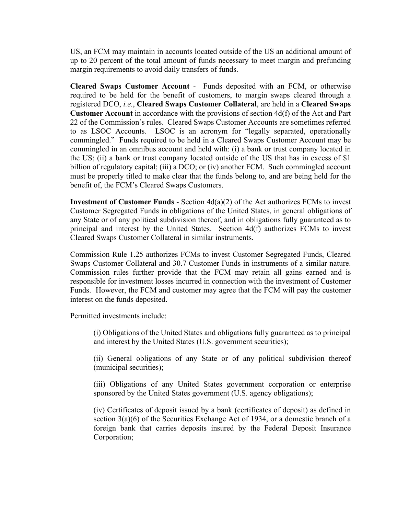US, an FCM may maintain in accounts located outside of the US an additional amount of up to 20 percent of the total amount of funds necessary to meet margin and prefunding margin requirements to avoid daily transfers of funds.

**Cleared Swaps Customer Account** -Funds deposited with an FCM, or otherwise required to be held for the benefit of customers, to margin swaps cleared through a registered DCO, *i.e.*, **Cleared Swaps Customer Collateral**, are held in a **Cleared Swaps Customer Account** in accordance with the provisions of section 4d(f) of the Act and Part 22 of the Commission's rules. Cleared Swaps Customer Accounts are sometimes referred to as LSOC Accounts. LSOC is an acronym for "legally separated, operationally commingled." Funds required to be held in a Cleared Swaps Customer Account may be commingled in an omnibus account and held with: (i) a bank or trust company located in the US; (ii) a bank or trust company located outside of the US that has in excess of \$1 billion of regulatory capital; (iii) a DCO; or (iv) another FCM. Such commingled account must be properly titled to make clear that the funds belong to, and are being held for the benefit of, the FCM's Cleared Swaps Customers.

**Investment of Customer Funds** - Section 4d(a)(2) of the Act authorizes FCMs to invest Customer Segregated Funds in obligations of the United States, in general obligations of any State or of any political subdivision thereof, and in obligations fully guaranteed as to principal and interest by the United States. Section 4d(f) authorizes FCMs to invest Cleared Swaps Customer Collateral in similar instruments.

Commission Rule 1.25 authorizes FCMs to invest Customer Segregated Funds, Cleared Swaps Customer Collateral and 30.7 Customer Funds in instruments of a similar nature. Commission rules further provide that the FCM may retain all gains earned and is responsible for investment losses incurred in connection with the investment of Customer Funds. However, the FCM and customer may agree that the FCM will pay the customer interest on the funds deposited.

Permitted investments include:

(i) Obligations of the United States and obligations fully guaranteed as to principal and interest by the United States (U.S. government securities);

(ii) General obligations of any State or of any political subdivision thereof (municipal securities);

(iii) Obligations of any United States government corporation or enterprise sponsored by the United States government (U.S. agency obligations);

(iv) Certificates of deposit issued by a bank (certificates of deposit) as defined in section 3(a)(6) of the Securities Exchange Act of 1934, or a domestic branch of a foreign bank that carries deposits insured by the Federal Deposit Insurance Corporation;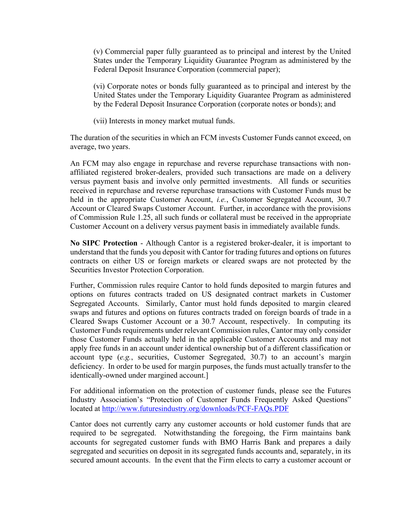(v) Commercial paper fully guaranteed as to principal and interest by the United States under the Temporary Liquidity Guarantee Program as administered by the Federal Deposit Insurance Corporation (commercial paper);

(vi) Corporate notes or bonds fully guaranteed as to principal and interest by the United States under the Temporary Liquidity Guarantee Program as administered by the Federal Deposit Insurance Corporation (corporate notes or bonds); and

(vii) Interests in money market mutual funds.

The duration of the securities in which an FCM invests Customer Funds cannot exceed, on average, two years.

An FCM may also engage in repurchase and reverse repurchase transactions with nonaffiliated registered broker-dealers, provided such transactions are made on a delivery versus payment basis and involve only permitted investments. All funds or securities received in repurchase and reverse repurchase transactions with Customer Funds must be held in the appropriate Customer Account, *i.e.*, Customer Segregated Account, 30.7 Account or Cleared Swaps Customer Account. Further, in accordance with the provisions of Commission Rule 1.25, all such funds or collateral must be received in the appropriate Customer Account on a delivery versus payment basis in immediately available funds.

**No SIPC Protection** - Although Cantor is a registered broker-dealer, it is important to understand that the funds you deposit with Cantor for trading futures and options on futures contracts on either US or foreign markets or cleared swaps are not protected by the Securities Investor Protection Corporation.

Further, Commission rules require Cantor to hold funds deposited to margin futures and options on futures contracts traded on US designated contract markets in Customer Segregated Accounts. Similarly, Cantor must hold funds deposited to margin cleared swaps and futures and options on futures contracts traded on foreign boards of trade in a Cleared Swaps Customer Account or a 30.7 Account, respectively. In computing its Customer Funds requirements under relevant Commission rules, Cantor may only consider those Customer Funds actually held in the applicable Customer Accounts and may not apply free funds in an account under identical ownership but of a different classification or account type (*e.g.*, securities, Customer Segregated, 30.7) to an account's margin deficiency. In order to be used for margin purposes, the funds must actually transfer to the identically-owned under margined account.]

For additional information on the protection of customer funds, please see the Futures Industry Association's "Protection of Customer Funds Frequently Asked Questions" located at<http://www.futuresindustry.org/downloads/PCF-FAQs.PDF>

Cantor does not currently carry any customer accounts or hold customer funds that are required to be segregated. Notwithstanding the foregoing, the Firm maintains bank accounts for segregated customer funds with BMO Harris Bank and prepares a daily segregated and securities on deposit in its segregated funds accounts and, separately, in its secured amount accounts. In the event that the Firm elects to carry a customer account or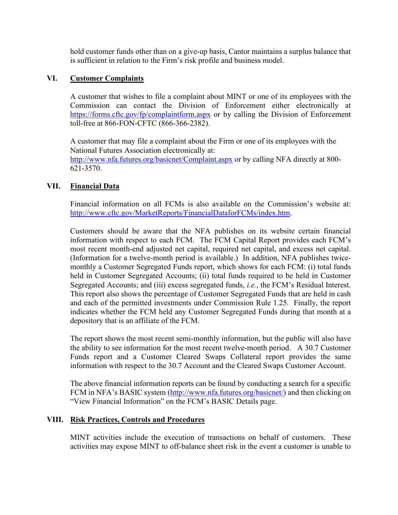hold customer funds other than on a give-up basis, Cantor maintains a surplus balance that is sufficient in relation to the Firm's risk profile and business model.

#### **VI. Customer Complaints**

A customer that wishes to file a complaint about MINT or one of its employees with the Commission can contact the Division of Enforcement either electronically at <https://forms.cftc.gov/fp/complaintform.aspx> or by calling the Division of Enforcement toll-free at 866-FON-CFTC (866-366-2382).

A customer that may file a complaint about the Firm or one of its employees with the National Futures Association electronically at: <http://www.nfa.futures.org/basicnet/Complaint.aspx>or by calling NFA directly at 800- 621-3570.

#### **VII. Financial Data**

Financial information on all FCMs is also available on the Commission's website at: [http://www.cftc.gov/MarketReports/FinancialDataforFCMs/index.htm.](http://www.cftc.gov/MarketReports/FinancialDataforFCMs/index.htm)

Customers should be aware that the NFA publishes on its website certain financial information with respect to each FCM. The FCM Capital Report provides each FCM's most recent month-end adjusted net capital, required net capital, and excess net capital. (Information for a twelve-month period is available.) In addition, NFA publishes twicemonthly a Customer Segregated Funds report, which shows for each FCM: (i) total funds held in Customer Segregated Accounts; (ii) total funds required to be held in Customer Segregated Accounts; and (iii) excess segregated funds, *i.e.*, the FCM's Residual Interest. This report also shows the percentage of Customer Segregated Funds that are held in cash and each of the permitted investments under Commission Rule 1.25. Finally, the report indicates whether the FCM held any Customer Segregated Funds during that month at a depository that is an affiliate of the FCM.

The report shows the most recent semi-monthly information, but the public will also have the ability to see information for the most recent twelve-month period. A 30.7 Customer Funds report and a Customer Cleared Swaps Collateral report provides the same information with respect to the 30.7 Account and the Cleared Swaps Customer Account.

The above financial information reports can be found by conducting a search for a specific FCM in NFA's BASIC system [\(http://www.nfa.futures.org/basicnet/\)](http://www.nfa.futures.org/basicnet/) and then clicking on "View Financial Information" on the FCM's BASIC Details page.

#### **VIII. Risk Practices, Controls and Procedures**

MINT activities include the execution of transactions on behalf of customers. These activities may expose MINT to off-balance sheet risk in the event a customer is unable to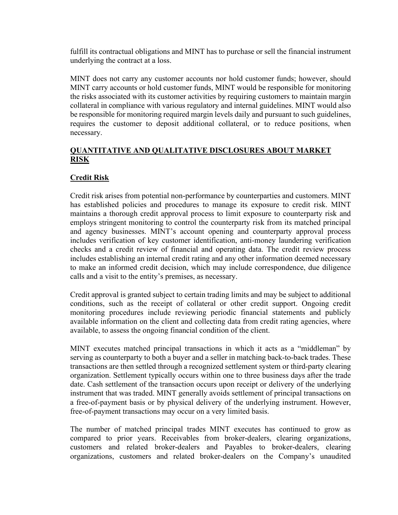fulfill its contractual obligations and MINT has to purchase or sell the financial instrument underlying the contract at a loss.

MINT does not carry any customer accounts nor hold customer funds; however, should MINT carry accounts or hold customer funds, MINT would be responsible for monitoring the risks associated with its customer activities by requiring customers to maintain margin collateral in compliance with various regulatory and internal guidelines. MINT would also be responsible for monitoring required margin levels daily and pursuant to such guidelines, requires the customer to deposit additional collateral, or to reduce positions, when necessary.

#### **QUANTITATIVE AND QUALITATIVE DISCLOSURES ABOUT MARKET RISK**

# **Credit Risk**

Credit risk arises from potential non-performance by counterparties and customers. MINT has established policies and procedures to manage its exposure to credit risk. MINT maintains a thorough credit approval process to limit exposure to counterparty risk and employs stringent monitoring to control the counterparty risk from its matched principal and agency businesses. MINT's account opening and counterparty approval process includes verification of key customer identification, anti-money laundering verification checks and a credit review of financial and operating data. The credit review process includes establishing an internal credit rating and any other information deemed necessary to make an informed credit decision, which may include correspondence, due diligence calls and a visit to the entity's premises, as necessary.

Credit approval is granted subject to certain trading limits and may be subject to additional conditions, such as the receipt of collateral or other credit support. Ongoing credit monitoring procedures include reviewing periodic financial statements and publicly available information on the client and collecting data from credit rating agencies, where available, to assess the ongoing financial condition of the client.

MINT executes matched principal transactions in which it acts as a "middleman" by serving as counterparty to both a buyer and a seller in matching back-to-back trades. These transactions are then settled through a recognized settlement system or third-party clearing organization. Settlement typically occurs within one to three business days after the trade date. Cash settlement of the transaction occurs upon receipt or delivery of the underlying instrument that was traded. MINT generally avoids settlement of principal transactions on a free-of-payment basis or by physical delivery of the underlying instrument. However, free-of-payment transactions may occur on a very limited basis.

The number of matched principal trades MINT executes has continued to grow as compared to prior years. Receivables from broker-dealers, clearing organizations, customers and related broker-dealers and Payables to broker-dealers, clearing organizations, customers and related broker-dealers on the Company's unaudited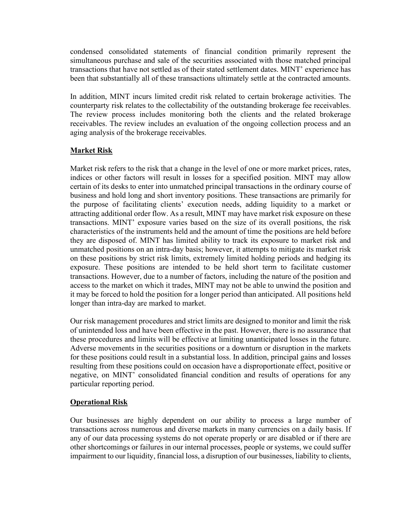condensed consolidated statements of financial condition primarily represent the simultaneous purchase and sale of the securities associated with those matched principal transactions that have not settled as of their stated settlement dates. MINT' experience has been that substantially all of these transactions ultimately settle at the contracted amounts.

In addition, MINT incurs limited credit risk related to certain brokerage activities. The counterparty risk relates to the collectability of the outstanding brokerage fee receivables. The review process includes monitoring both the clients and the related brokerage receivables. The review includes an evaluation of the ongoing collection process and an aging analysis of the brokerage receivables.

# **Market Risk**

Market risk refers to the risk that a change in the level of one or more market prices, rates, indices or other factors will result in losses for a specified position. MINT may allow certain of its desks to enter into unmatched principal transactions in the ordinary course of business and hold long and short inventory positions. These transactions are primarily for the purpose of facilitating clients' execution needs, adding liquidity to a market or attracting additional order flow. As a result, MINT may have market risk exposure on these transactions. MINT' exposure varies based on the size of its overall positions, the risk characteristics of the instruments held and the amount of time the positions are held before they are disposed of. MINT has limited ability to track its exposure to market risk and unmatched positions on an intra-day basis; however, it attempts to mitigate its market risk on these positions by strict risk limits, extremely limited holding periods and hedging its exposure. These positions are intended to be held short term to facilitate customer transactions. However, due to a number of factors, including the nature of the position and access to the market on which it trades, MINT may not be able to unwind the position and it may be forced to hold the position for a longer period than anticipated. All positions held longer than intra-day are marked to market.

Our risk management procedures and strict limits are designed to monitor and limit the risk of unintended loss and have been effective in the past. However, there is no assurance that these procedures and limits will be effective at limiting unanticipated losses in the future. Adverse movements in the securities positions or a downturn or disruption in the markets for these positions could result in a substantial loss. In addition, principal gains and losses resulting from these positions could on occasion have a disproportionate effect, positive or negative, on MINT' consolidated financial condition and results of operations for any particular reporting period.

# **Operational Risk**

Our businesses are highly dependent on our ability to process a large number of transactions across numerous and diverse markets in many currencies on a daily basis. If any of our data processing systems do not operate properly or are disabled or if there are other shortcomings or failures in our internal processes, people or systems, we could suffer impairment to our liquidity, financial loss, a disruption of our businesses, liability to clients,